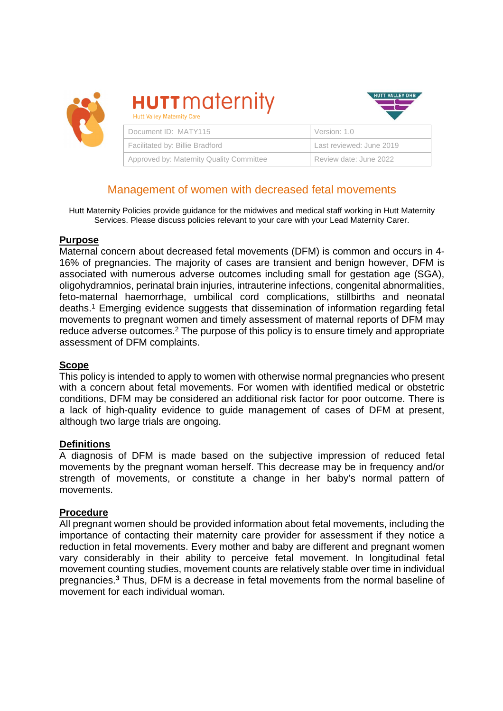

**HUTT** maternity **Hutt Valley Maternity Care** 



| Document ID: MATY115                     | Version: 1.0             |
|------------------------------------------|--------------------------|
| Facilitated by: Billie Bradford          | Last reviewed: June 2019 |
| Approved by: Maternity Quality Committee | Review date: June 2022   |

# Management of women with decreased fetal movements

Hutt Maternity Policies provide guidance for the midwives and medical staff working in Hutt Maternity Services. Please discuss policies relevant to your care with your Lead Maternity Carer.

### **Purpose**

Maternal concern about decreased fetal movements (DFM) is common and occurs in 4- 16% of pregnancies. The majority of cases are transient and benign however, DFM is associated with numerous adverse outcomes including small for gestation age (SGA), oligohydramnios, perinatal brain injuries, intrauterine infections, congenital abnormalities, feto-maternal haemorrhage, umbilical cord complications, stillbirths and neonatal deaths.<sup>1</sup> Emerging evidence suggests that dissemination of information regarding fetal movements to pregnant women and timely assessment of maternal reports of DFM may reduce adverse outcomes.<sup>2</sup> The purpose of this policy is to ensure timely and appropriate assessment of DFM complaints.

## **Scope**

This policy is intended to apply to women with otherwise normal pregnancies who present with a concern about fetal movements. For women with identified medical or obstetric conditions, DFM may be considered an additional risk factor for poor outcome. There is a lack of high-quality evidence to guide management of cases of DFM at present, although two large trials are ongoing.

## **Definitions**

A diagnosis of DFM is made based on the subjective impression of reduced fetal movements by the pregnant woman herself. This decrease may be in frequency and/or strength of movements, or constitute a change in her baby's normal pattern of movements.

#### **Procedure**

All pregnant women should be provided information about fetal movements, including the importance of contacting their maternity care provider for assessment if they notice a reduction in fetal movements. Every mother and baby are different and pregnant women vary considerably in their ability to perceive fetal movement. In longitudinal fetal movement counting studies, movement counts are relatively stable over time in individual pregnancies.**<sup>3</sup>** Thus, DFM is a decrease in fetal movements from the normal baseline of movement for each individual woman.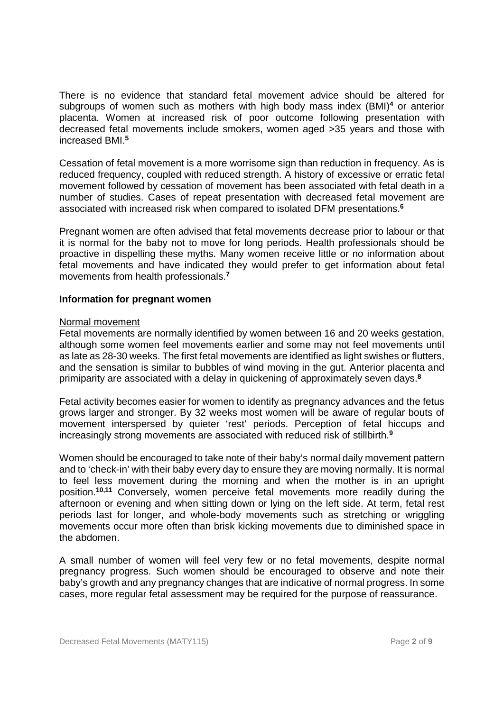There is no evidence that standard fetal movement advice should be altered for subgroups of women such as mothers with high body mass index (BMI)<sup>4</sup> or anterior placenta. Women at increased risk of poor outcome following presentation with decreased fetal movements include smokers, women aged >35 years and those with increased BMI.**<sup>5</sup>**

Cessation of fetal movement is a more worrisome sign than reduction in frequency. As is reduced frequency, coupled with reduced strength. A history of excessive or erratic fetal movement followed by cessation of movement has been associated with fetal death in a number of studies. Cases of repeat presentation with decreased fetal movement are associated with increased risk when compared to isolated DFM presentations.**<sup>6</sup>**

Pregnant women are often advised that fetal movements decrease prior to labour or that it is normal for the baby not to move for long periods. Health professionals should be proactive in dispelling these myths. Many women receive little or no information about fetal movements and have indicated they would prefer to get information about fetal movements from health professionals.**<sup>7</sup>**

### **Information for pregnant women**

#### Normal movement

Fetal movements are normally identified by women between 16 and 20 weeks gestation, although some women feel movements earlier and some may not feel movements until as late as 28-30 weeks. The first fetal movements are identified as light swishes or flutters, and the sensation is similar to bubbles of wind moving in the gut. Anterior placenta and primiparity are associated with a delay in quickening of approximately seven days.**<sup>8</sup>**

Fetal activity becomes easier for women to identify as pregnancy advances and the fetus grows larger and stronger. By 32 weeks most women will be aware of regular bouts of movement interspersed by quieter 'rest' periods. Perception of fetal hiccups and increasingly strong movements are associated with reduced risk of stillbirth.**<sup>9</sup>**

Women should be encouraged to take note of their baby's normal daily movement pattern and to 'check-in' with their baby every day to ensure they are moving normally. It is normal to feel less movement during the morning and when the mother is in an upright position.**10,11** Conversely, women perceive fetal movements more readily during the afternoon or evening and when sitting down or lying on the left side. At term, fetal rest periods last for longer, and whole-body movements such as stretching or wriggling movements occur more often than brisk kicking movements due to diminished space in the abdomen.

A small number of women will feel very few or no fetal movements, despite normal pregnancy progress. Such women should be encouraged to observe and note their baby's growth and any pregnancy changes that are indicative of normal progress. In some cases, more regular fetal assessment may be required for the purpose of reassurance.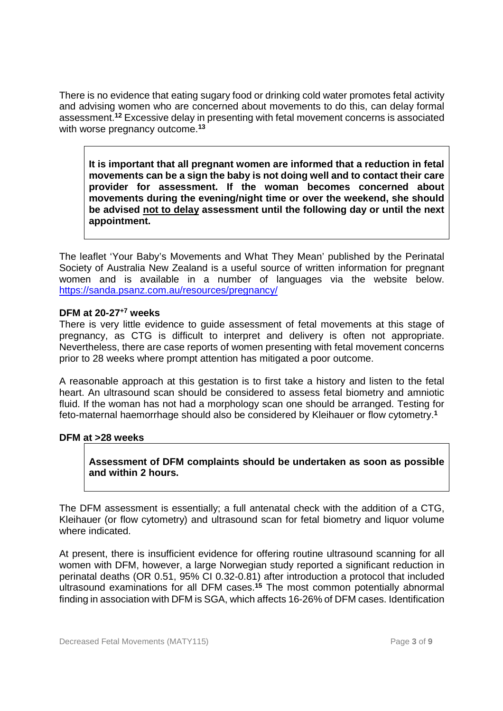There is no evidence that eating sugary food or drinking cold water promotes fetal activity and advising women who are concerned about movements to do this, can delay formal assessment.**<sup>12</sup>** Excessive delay in presenting with fetal movement concerns is associated with worse pregnancy outcome.**<sup>13</sup>**

**It is important that all pregnant women are informed that a reduction in fetal movements can be a sign the baby is not doing well and to contact their care provider for assessment. If the woman becomes concerned about movements during the evening/night time or over the weekend, she should be advised not to delay assessment until the following day or until the next appointment.** 

The leaflet 'Your Baby's Movements and What They Mean' published by the Perinatal Society of Australia New Zealand is a useful source of written information for pregnant women and is available in a number of languages via the website below. https://sanda.psanz.com.au/resources/pregnancy/

## **DFM at 20-27+7 weeks**

There is very little evidence to guide assessment of fetal movements at this stage of pregnancy, as CTG is difficult to interpret and delivery is often not appropriate. Nevertheless, there are case reports of women presenting with fetal movement concerns prior to 28 weeks where prompt attention has mitigated a poor outcome.

A reasonable approach at this gestation is to first take a history and listen to the fetal heart. An ultrasound scan should be considered to assess fetal biometry and amniotic fluid. If the woman has not had a morphology scan one should be arranged. Testing for feto-maternal haemorrhage should also be considered by Kleihauer or flow cytometry.**<sup>1</sup>**

#### **DFM at >28 weeks**

## **Assessment of DFM complaints should be undertaken as soon as possible and within 2 hours.**

The DFM assessment is essentially; a full antenatal check with the addition of a CTG, Kleihauer (or flow cytometry) and ultrasound scan for fetal biometry and liquor volume where indicated.

At present, there is insufficient evidence for offering routine ultrasound scanning for all women with DFM, however, a large Norwegian study reported a significant reduction in perinatal deaths (OR 0.51, 95% CI 0.32-0.81) after introduction a protocol that included ultrasound examinations for all DFM cases.**<sup>15</sup>** The most common potentially abnormal finding in association with DFM is SGA, which affects 16-26% of DFM cases. Identification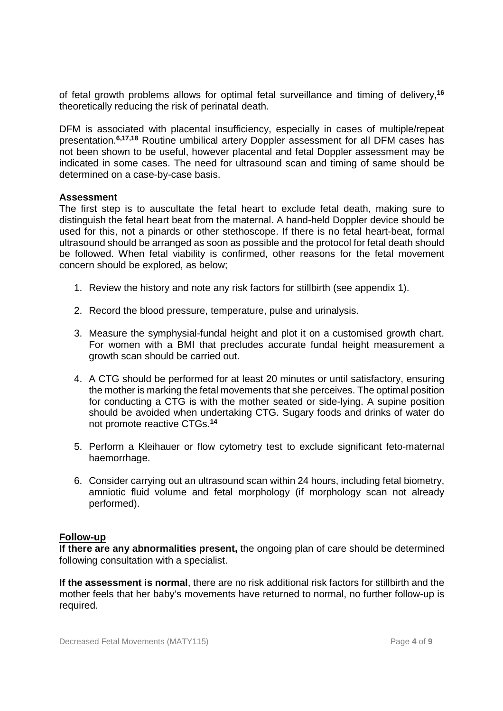of fetal growth problems allows for optimal fetal surveillance and timing of delivery,**<sup>16</sup>** theoretically reducing the risk of perinatal death.

DFM is associated with placental insufficiency, especially in cases of multiple/repeat presentation.**6,17,18** Routine umbilical artery Doppler assessment for all DFM cases has not been shown to be useful, however placental and fetal Doppler assessment may be indicated in some cases. The need for ultrasound scan and timing of same should be determined on a case-by-case basis.

#### **Assessment**

The first step is to auscultate the fetal heart to exclude fetal death, making sure to distinguish the fetal heart beat from the maternal. A hand-held Doppler device should be used for this, not a pinards or other stethoscope. If there is no fetal heart-beat, formal ultrasound should be arranged as soon as possible and the protocol for fetal death should be followed. When fetal viability is confirmed, other reasons for the fetal movement concern should be explored, as below;

- 1. Review the history and note any risk factors for stillbirth (see appendix 1).
- 2. Record the blood pressure, temperature, pulse and urinalysis.
- 3. Measure the symphysial-fundal height and plot it on a customised growth chart. For women with a BMI that precludes accurate fundal height measurement a growth scan should be carried out.
- 4. A CTG should be performed for at least 20 minutes or until satisfactory, ensuring the mother is marking the fetal movements that she perceives. The optimal position for conducting a CTG is with the mother seated or side-lying. A supine position should be avoided when undertaking CTG. Sugary foods and drinks of water do not promote reactive CTGs.**<sup>14</sup>**
- 5. Perform a Kleihauer or flow cytometry test to exclude significant feto-maternal haemorrhage.
- 6. Consider carrying out an ultrasound scan within 24 hours, including fetal biometry, amniotic fluid volume and fetal morphology (if morphology scan not already performed).

#### **Follow-up**

**If there are any abnormalities present,** the ongoing plan of care should be determined following consultation with a specialist.

**If the assessment is normal**, there are no risk additional risk factors for stillbirth and the mother feels that her baby's movements have returned to normal, no further follow-up is required.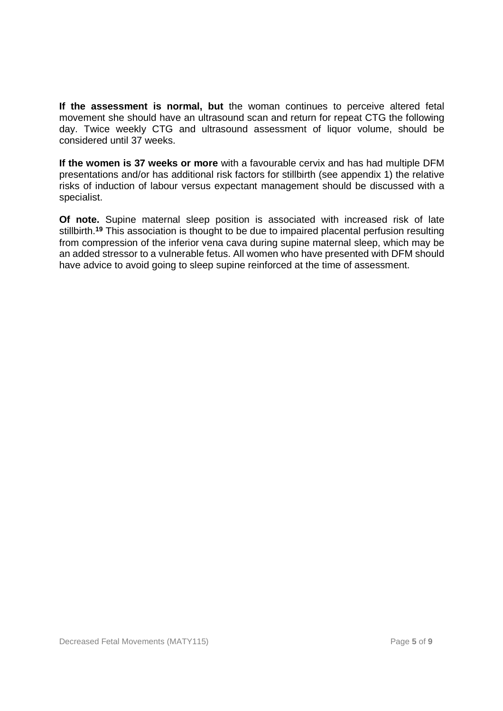**If the assessment is normal, but** the woman continues to perceive altered fetal movement she should have an ultrasound scan and return for repeat CTG the following day. Twice weekly CTG and ultrasound assessment of liquor volume, should be considered until 37 weeks.

**If the women is 37 weeks or more** with a favourable cervix and has had multiple DFM presentations and/or has additional risk factors for stillbirth (see appendix 1) the relative risks of induction of labour versus expectant management should be discussed with a specialist.

**Of note.** Supine maternal sleep position is associated with increased risk of late stillbirth.**<sup>19</sup>** This association is thought to be due to impaired placental perfusion resulting from compression of the inferior vena cava during supine maternal sleep, which may be an added stressor to a vulnerable fetus. All women who have presented with DFM should have advice to avoid going to sleep supine reinforced at the time of assessment.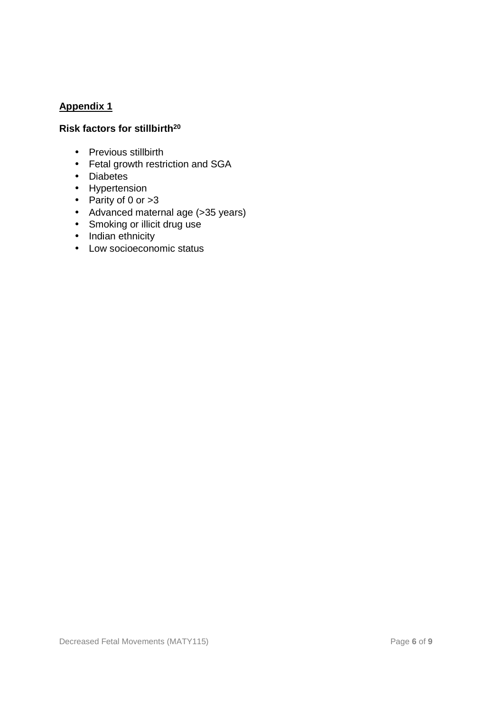## **Appendix 1**

## **Risk factors for stillbirth<sup>20</sup>**

- Previous stillbirth
- Fetal growth restriction and SGA
- Diabetes
- Hypertension
- Parity of 0 or >3
- Advanced maternal age (>35 years)
- Smoking or illicit drug use
- Indian ethnicity
- Low socioeconomic status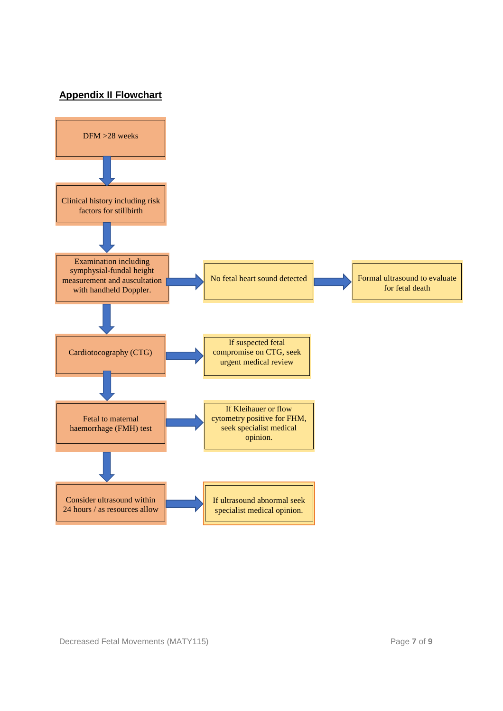# **Appendix II Flowchart**

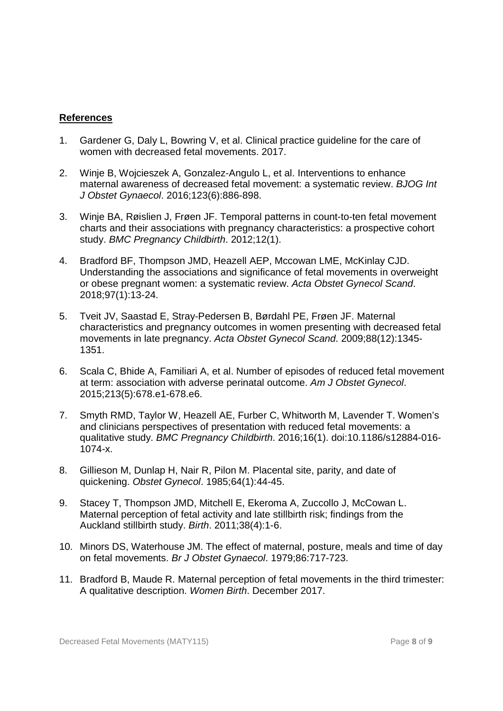## **References**

- 1. Gardener G, Daly L, Bowring V, et al. Clinical practice guideline for the care of women with decreased fetal movements. 2017.
- 2. Winje B, Wojcieszek A, Gonzalez-Angulo L, et al. Interventions to enhance maternal awareness of decreased fetal movement: a systematic review. BJOG Int J Obstet Gynaecol. 2016;123(6):886-898.
- 3. Winje BA, Røislien J, Frøen JF. Temporal patterns in count-to-ten fetal movement charts and their associations with pregnancy characteristics: a prospective cohort study. BMC Pregnancy Childbirth. 2012;12(1).
- 4. Bradford BF, Thompson JMD, Heazell AEP, Mccowan LME, McKinlay CJD. Understanding the associations and significance of fetal movements in overweight or obese pregnant women: a systematic review. Acta Obstet Gynecol Scand. 2018;97(1):13-24.
- 5. Tveit JV, Saastad E, Stray-Pedersen B, Børdahl PE, Frøen JF. Maternal characteristics and pregnancy outcomes in women presenting with decreased fetal movements in late pregnancy. Acta Obstet Gynecol Scand. 2009;88(12):1345- 1351.
- 6. Scala C, Bhide A, Familiari A, et al. Number of episodes of reduced fetal movement at term: association with adverse perinatal outcome. Am J Obstet Gynecol. 2015;213(5):678.e1-678.e6.
- 7. Smyth RMD, Taylor W, Heazell AE, Furber C, Whitworth M, Lavender T. Women's and clinicians perspectives of presentation with reduced fetal movements: a qualitative study. BMC Pregnancy Childbirth. 2016;16(1). doi:10.1186/s12884-016- 1074-x.
- 8. Gillieson M, Dunlap H, Nair R, Pilon M. Placental site, parity, and date of quickening. Obstet Gynecol. 1985;64(1):44-45.
- 9. Stacey T, Thompson JMD, Mitchell E, Ekeroma A, Zuccollo J, McCowan L. Maternal perception of fetal activity and late stillbirth risk; findings from the Auckland stillbirth study. Birth. 2011;38(4):1-6.
- 10. Minors DS, Waterhouse JM. The effect of maternal, posture, meals and time of day on fetal movements. Br J Obstet Gynaecol. 1979;86:717-723.
- 11. Bradford B, Maude R. Maternal perception of fetal movements in the third trimester: A qualitative description. Women Birth. December 2017.